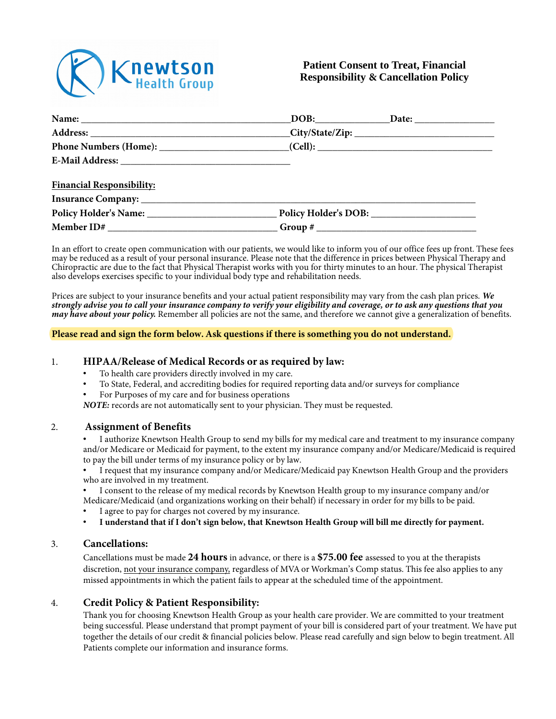

# **Patient Consent to Treat, Financial Responsibility & Cancellation Policy**

| <b>Financial Responsibility:</b>                                                  |  |
|-----------------------------------------------------------------------------------|--|
|                                                                                   |  |
|                                                                                   |  |
| Member ID# __________________________________Group # ____________________________ |  |

In an effort to create open communication with our patients, we would like to inform you of our office fees up front. These fees may be reduced as a result of your personal insurance. Please note that the difference in prices between Physical Therapy and Chiropractic are due to the fact that Physical Therapist works with you for thirty minutes to an hour. The physical Therapist also develops exercises specific to your individual body type and rehabilitation needs.

Prices are subject to your insurance benefits and your actual patient responsibility may vary from the cash plan prices. *We strongly advise you to call your insurance company to verify your eligibility and coverage, or to ask any questions that you may have about your policy.* Remember all policies are not the same, and therefore we cannot give a generalization of benefits.

#### **Please read and sign the form below. Ask questions if there is something you do not understand.**

#### 1. **HIPAA/Release of Medical Records or as required by law:**

- To health care providers directly involved in my care.
- To State, Federal, and accrediting bodies for required reporting data and/or surveys for compliance
- For Purposes of my care and for business operations

*NOTE:* records are not automatically sent to your physician. They must be requested.

#### 2. **Assignment of Benefits**

• I authorize Knewtson Health Group to send my bills for my medical care and treatment to my insurance company and/or Medicare or Medicaid for payment, to the extent my insurance company and/or Medicare/Medicaid is required to pay the bill under terms of my insurance policy or by law.

• I request that my insurance company and/or Medicare/Medicaid pay Knewtson Health Group and the providers who are involved in my treatment.

• I consent to the release of my medical records by Knewtson Health group to my insurance company and/or Medicare/Medicaid (and organizations working on their behalf) if necessary in order for my bills to be paid.

- I agree to pay for charges not covered by my insurance.
- **I understand that if I don't sign below, that Knewtson Health Group will bill me directly for payment.**

#### 3. **Cancellations:**

Cancellations must be made **24 hours** in advance, or there is a **\$75.00 fee** assessed to you at the therapists discretion, not your insurance company, regardless of MVA or Workman's Comp status. This fee also applies to any missed appointments in which the patient fails to appear at the scheduled time of the appointment.

## 4. **Credit Policy & Patient Responsibility:**

Thank you for choosing Knewtson Health Group as your health care provider. We are committed to your treatment being successful. Please understand that prompt payment of your bill is considered part of your treatment. We have put together the details of our credit & financial policies below. Please read carefully and sign below to begin treatment. All Patients complete our information and insurance forms.